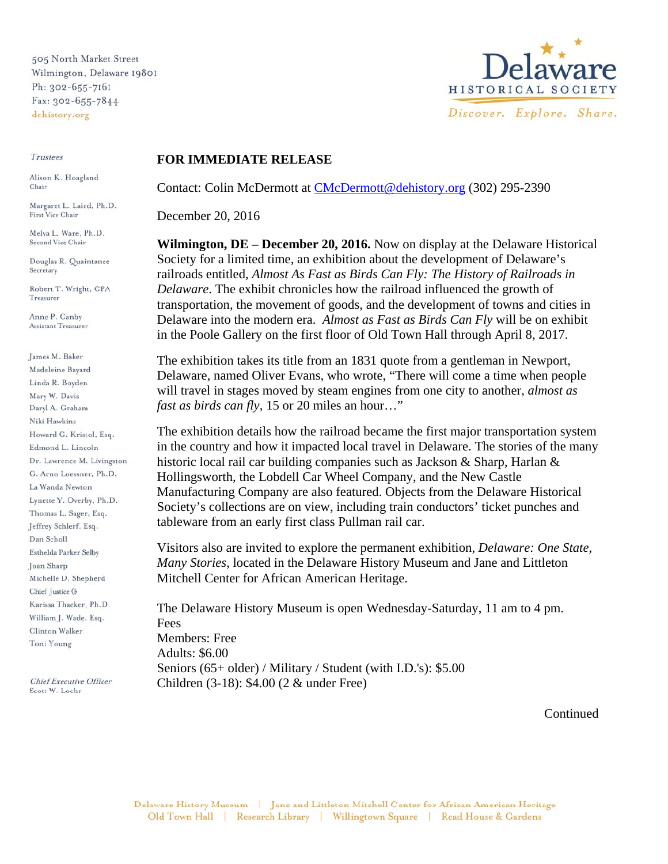505 North Market Street Wilmington, Delaware 19801 Ph: 302-655-7161 Fax: 302-655-7844 dehistory.org

Trustees

Alison K. Hoagland Chair

Margaret L. Laird, Ph.D. First Vice Chair

Melva L. Ware, Ph.D. Second Vice Chair

Douglas R. Quaintance Secretary

Robert T. Wright, CPA Treasurer

Anne P. Canby Assistant Treasurer

James M. Baker Madeleine Bayard Linda R. Boyden Mary W. Davis Daryl A. Graham Niki Hawkins Howard G. Kristol, Esq. Edmond L. Lincoln Dr. Lawrence M. Livingston G. Arno Loessner, Ph.D. La Wanda Newton Lynette Y. Overby, Ph.D. Thomas L. Sager, Esq. Jeffrey Schlerf, Esq. Dan Scholl Esthelda Parker Selby Joan Sharp Michelle D. Shepherd Chief Justice (F Karissa Thacker, Ph.D. William J. Wade, Esq. Clinton Walker Toni Young

**Chief Executive Officer** Scott W. Lochr



## **FOR IMMEDIATE RELEASE**

Contact: Colin McDermott at CMcDermott@dehistory.org (302) 295-2390

December 20, 2016

**Wilmington, DE – December 20, 2016.** Now on display at the Delaware Historical Society for a limited time, an exhibition about the development of Delaware's railroads entitled*, Almost As Fast as Birds Can Fly: The History of Railroads in Delaware*. The exhibit chronicles how the railroad influenced the growth of transportation, the movement of goods, and the development of towns and cities in Delaware into the modern era. *Almost as Fast as Birds Can Fly* will be on exhibit in the Poole Gallery on the first floor of Old Town Hall through April 8, 2017.

The exhibition takes its title from an 1831 quote from a gentleman in Newport, Delaware, named Oliver Evans, who wrote, "There will come a time when people will travel in stages moved by steam engines from one city to another, *almost as fast as birds can fly,* 15 or 20 miles an hour…"

The exhibition details how the railroad became the first major transportation system in the country and how it impacted local travel in Delaware. The stories of the many historic local rail car building companies such as Jackson & Sharp, Harlan & Hollingsworth, the Lobdell Car Wheel Company, and the New Castle Manufacturing Company are also featured. Objects from the Delaware Historical Society's collections are on view, including train conductors' ticket punches and tableware from an early first class Pullman rail car.

Visitors also are invited to explore the permanent exhibition, *Delaware: One State, Many Stories*, located in the Delaware History Museum and Jane and Littleton Mitchell Center for African American Heritage.

The Delaware History Museum is open Wednesday-Saturday, 11 am to 4 pm. **Fees** Members: Free Adults: \$6.00 Seniors (65+ older) / Military / Student (with I.D.'s): \$5.00 Children (3-18): \$4.00 (2 & under Free)

Continued